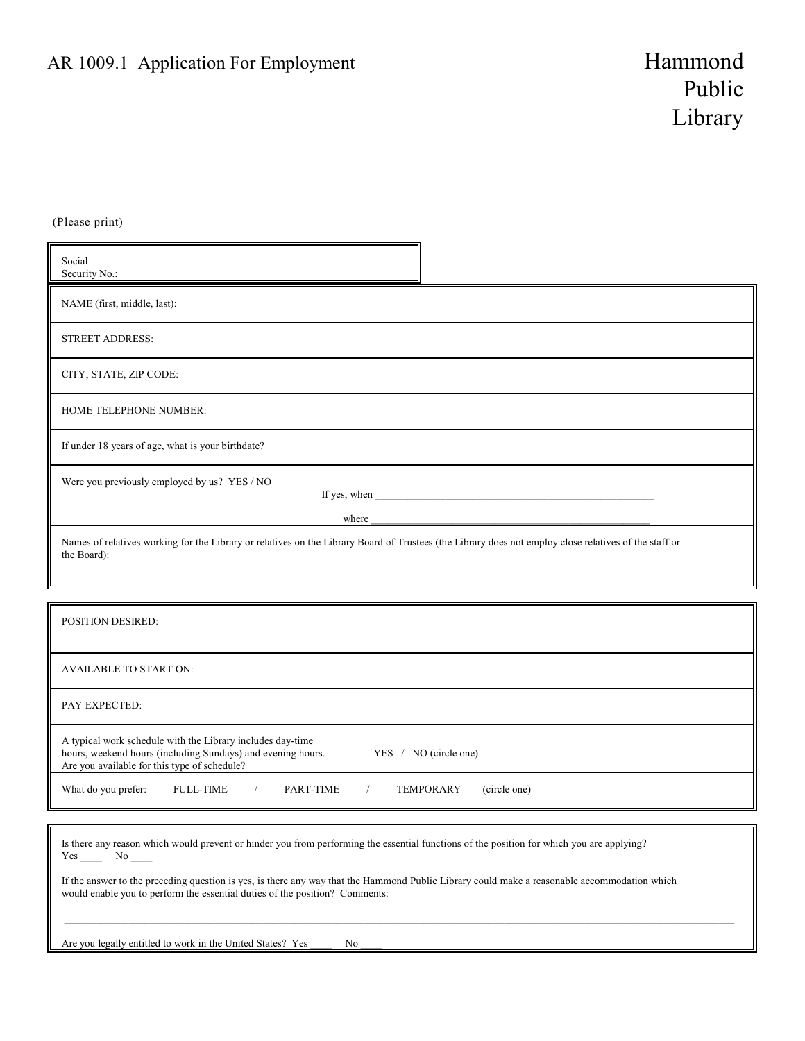(Please print)

| Social<br>Security No.:                                                                                                                                                                                                                                                                 |
|-----------------------------------------------------------------------------------------------------------------------------------------------------------------------------------------------------------------------------------------------------------------------------------------|
| NAME (first, middle, last):                                                                                                                                                                                                                                                             |
| <b>STREET ADDRESS:</b>                                                                                                                                                                                                                                                                  |
| CITY, STATE, ZIP CODE:                                                                                                                                                                                                                                                                  |
| HOME TELEPHONE NUMBER:                                                                                                                                                                                                                                                                  |
| If under 18 years of age, what is your birthdate?                                                                                                                                                                                                                                       |
| Were you previously employed by us? YES / NO<br>If yes, when the same state of the state of the state of the state of the state of the state of the state of the state of the state of the state of the state of the state of the state of the state of the state of the state<br>where |
| Names of relatives working for the Library or relatives on the Library Board of Trustees (the Library does not employ close relatives of the staff or<br>the Board):                                                                                                                    |

| <b>POSITION DESIRED:</b>                                                                                                                                                                           |
|----------------------------------------------------------------------------------------------------------------------------------------------------------------------------------------------------|
| <b>AVAILABLE TO START ON:</b>                                                                                                                                                                      |
| PAY EXPECTED:                                                                                                                                                                                      |
| A typical work schedule with the Library includes day-time<br>hours, weekend hours (including Sundays) and evening hours.<br>YES / NO (circle one)<br>Are you available for this type of schedule? |
| (circle one)<br>What do you prefer:<br><b>FULL-TIME</b><br>PART-TIME<br><b>TEMPORARY</b>                                                                                                           |

 Is there any reason which would prevent or hinder you from performing the essential functions of the position for which you are applying?  $Yes \_\_ No \_\_$ 

 If the answer to the preceding question is yes, is there any way that the Hammond Public Library could make a reasonable accommodation which would enable you to perform the essential duties of the position? Comments:

 $\_$  ,  $\_$  ,  $\_$  ,  $\_$  ,  $\_$  ,  $\_$  ,  $\_$  ,  $\_$  ,  $\_$  ,  $\_$  ,  $\_$  ,  $\_$  ,  $\_$  ,  $\_$  ,  $\_$  ,  $\_$  ,  $\_$  ,  $\_$  ,  $\_$  ,  $\_$  ,  $\_$  ,  $\_$  ,  $\_$  ,  $\_$  ,  $\_$  ,  $\_$  ,  $\_$  ,  $\_$  ,  $\_$  ,  $\_$  ,  $\_$  ,  $\_$  ,  $\_$  ,  $\_$  ,  $\_$  ,  $\_$  ,  $\_$  ,

Are you legally entitled to work in the United States? Yes No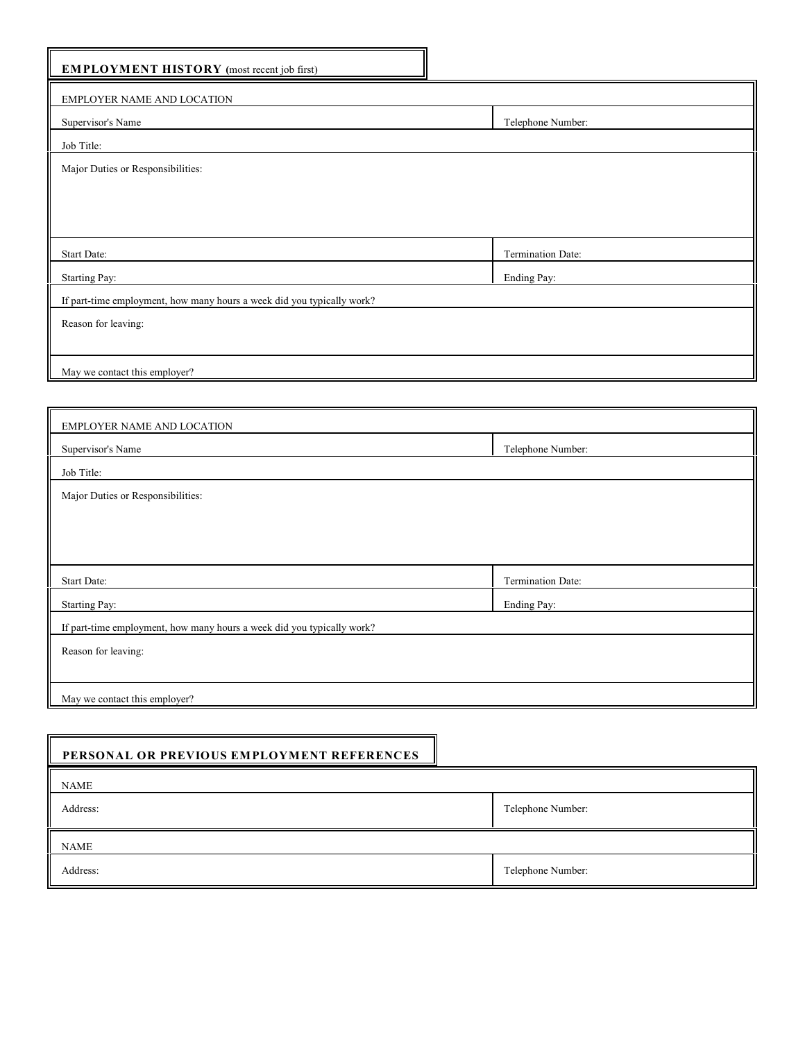| Telephone Number: |
|-------------------|
|                   |
|                   |
|                   |
|                   |
|                   |
| Termination Date: |
| Ending Pay:       |
|                   |
|                   |
|                   |
|                   |
|                   |
|                   |

| EMPLOYER NAME AND LOCATION                                             |                   |  |  |  |
|------------------------------------------------------------------------|-------------------|--|--|--|
| Supervisor's Name                                                      | Telephone Number: |  |  |  |
| Job Title:                                                             |                   |  |  |  |
| Major Duties or Responsibilities:                                      |                   |  |  |  |
|                                                                        |                   |  |  |  |
|                                                                        |                   |  |  |  |
|                                                                        |                   |  |  |  |
| Start Date:                                                            | Termination Date: |  |  |  |
| <b>Starting Pay:</b>                                                   | Ending Pay:       |  |  |  |
| If part-time employment, how many hours a week did you typically work? |                   |  |  |  |
| Reason for leaving:                                                    |                   |  |  |  |
|                                                                        |                   |  |  |  |
| May we contact this employer?                                          |                   |  |  |  |

| PERSONAL OR PREVIOUS EMPLOYMENT REFERENCES |                   |
|--------------------------------------------|-------------------|
| <b>NAME</b>                                |                   |
| Address:                                   | Telephone Number: |
| <b>NAME</b>                                |                   |
| Address:                                   | Telephone Number: |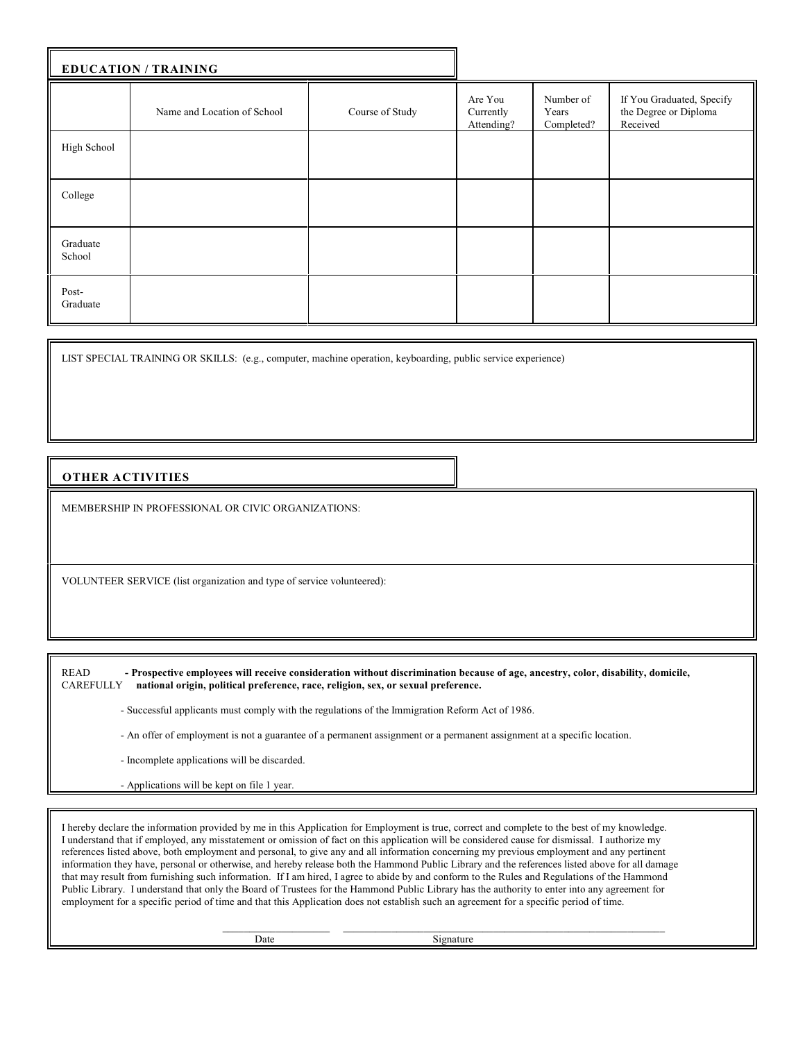| <b>EDUCATION / TRAINING</b> |                             |                 |                                    |                                  |                                                                |
|-----------------------------|-----------------------------|-----------------|------------------------------------|----------------------------------|----------------------------------------------------------------|
|                             | Name and Location of School | Course of Study | Are You<br>Currently<br>Attending? | Number of<br>Years<br>Completed? | If You Graduated, Specify<br>the Degree or Diploma<br>Received |
| High School                 |                             |                 |                                    |                                  |                                                                |
| College                     |                             |                 |                                    |                                  |                                                                |
| Graduate<br>School          |                             |                 |                                    |                                  |                                                                |
| Post-<br>Graduate           |                             |                 |                                    |                                  |                                                                |

LIST SPECIAL TRAINING OR SKILLS: (e.g., computer, machine operation, keyboarding, public service experience)

## **OTHER ACTIVITIES**

MEMBERSHIP IN PROFESSIONAL OR CIVIC ORGANIZATIONS:

VOLUNTEER SERVICE (list organization and type of service volunteered):

 READ **- Prospective employees will receive consideration without discrimination because of age, ancestry, color, disability, domicile,** national origin, political preference, race, religion, sex, or sexual preference.

- Successful applicants must comply with the regulations of the Immigration Reform Act of 1986.

- An offer of employment is not a guarantee of a permanent assignment or a permanent assignment at a specific location.

- Incomplete applications will be discarded.

- Applications will be kept on file 1 year.

 I hereby declare the information provided by me in this Application for Employment is true, correct and complete to the best of my knowledge. I understand that if employed, any misstatement or omission of fact on this application will be considered cause for dismissal. I authorize my references listed above, both employment and personal, to give any and all information concerning my previous employment and any pertinent information they have, personal or otherwise, and hereby release both the Hammond Public Library and the references listed above for all damage that may result from furnishing such information. If I am hired, I agree to abide by and conform to the Rules and Regulations of the Hammond Public Library. I understand that only the Board of Trustees for the Hammond Public Library has the authority to enter into any agreement for employment for a specific period of time and that this Application does not establish such an agreement for a specific period of time.